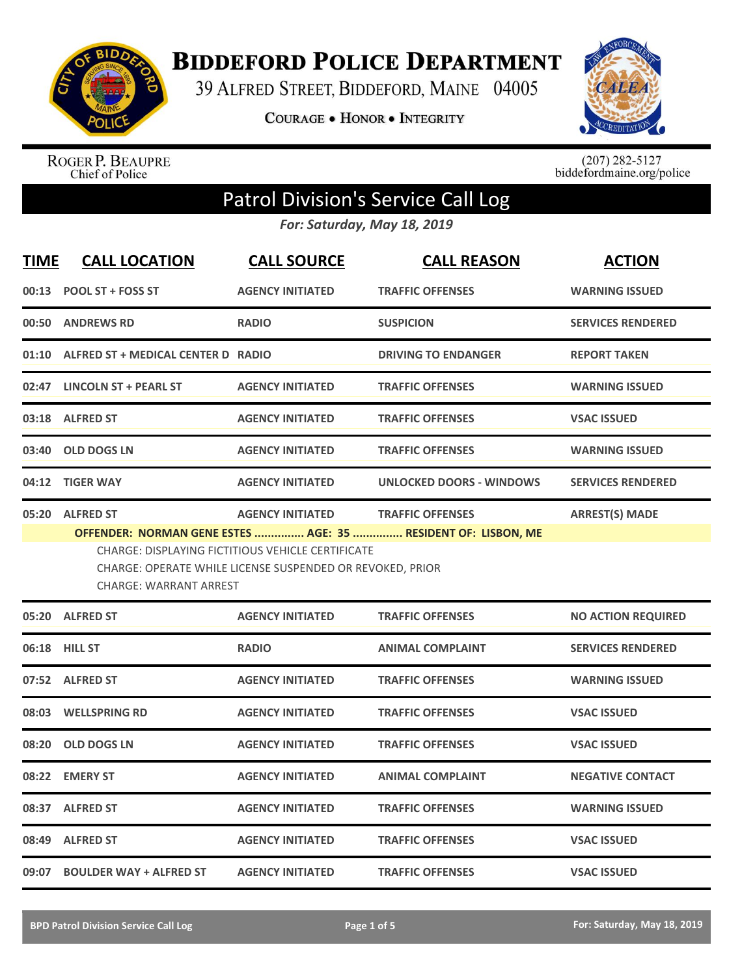

**BIDDEFORD POLICE DEPARTMENT** 

39 ALFRED STREET, BIDDEFORD, MAINE 04005

**COURAGE . HONOR . INTEGRITY** 



ROGER P. BEAUPRE<br>Chief of Police

 $(207)$  282-5127<br>biddefordmaine.org/police

## Patrol Division's Service Call Log

*For: Saturday, May 18, 2019*

| <b>TIME</b> | <b>CALL LOCATION</b>                                                                                                                                                                                                                                                                                               | <b>CALL SOURCE</b>      | <b>CALL REASON</b>              | <b>ACTION</b>             |  |
|-------------|--------------------------------------------------------------------------------------------------------------------------------------------------------------------------------------------------------------------------------------------------------------------------------------------------------------------|-------------------------|---------------------------------|---------------------------|--|
| 00:13       | <b>POOL ST + FOSS ST</b>                                                                                                                                                                                                                                                                                           | <b>AGENCY INITIATED</b> | <b>TRAFFIC OFFENSES</b>         | <b>WARNING ISSUED</b>     |  |
|             | 00:50 ANDREWS RD                                                                                                                                                                                                                                                                                                   | <b>RADIO</b>            | <b>SUSPICION</b>                | <b>SERVICES RENDERED</b>  |  |
|             | 01:10 ALFRED ST + MEDICAL CENTER D RADIO                                                                                                                                                                                                                                                                           |                         | <b>DRIVING TO ENDANGER</b>      | <b>REPORT TAKEN</b>       |  |
|             | 02:47 LINCOLN ST + PEARL ST                                                                                                                                                                                                                                                                                        | <b>AGENCY INITIATED</b> | <b>TRAFFIC OFFENSES</b>         | <b>WARNING ISSUED</b>     |  |
|             | 03:18 ALFRED ST                                                                                                                                                                                                                                                                                                    | <b>AGENCY INITIATED</b> | <b>TRAFFIC OFFENSES</b>         | <b>VSAC ISSUED</b>        |  |
| 03:40       | <b>OLD DOGS LN</b>                                                                                                                                                                                                                                                                                                 | <b>AGENCY INITIATED</b> | <b>TRAFFIC OFFENSES</b>         | <b>WARNING ISSUED</b>     |  |
|             | 04:12 TIGER WAY                                                                                                                                                                                                                                                                                                    | <b>AGENCY INITIATED</b> | <b>UNLOCKED DOORS - WINDOWS</b> | <b>SERVICES RENDERED</b>  |  |
|             | 05:20 ALFRED ST<br><b>ARREST(S) MADE</b><br><b>AGENCY INITIATED</b><br><b>TRAFFIC OFFENSES</b><br>OFFENDER: NORMAN GENE ESTES  AGE: 35  RESIDENT OF: LISBON, ME<br>CHARGE: DISPLAYING FICTITIOUS VEHICLE CERTIFICATE<br>CHARGE: OPERATE WHILE LICENSE SUSPENDED OR REVOKED, PRIOR<br><b>CHARGE: WARRANT ARREST</b> |                         |                                 |                           |  |
|             | 05:20 ALFRED ST                                                                                                                                                                                                                                                                                                    | <b>AGENCY INITIATED</b> | <b>TRAFFIC OFFENSES</b>         | <b>NO ACTION REQUIRED</b> |  |
|             | 06:18 HILL ST                                                                                                                                                                                                                                                                                                      | <b>RADIO</b>            | <b>ANIMAL COMPLAINT</b>         | <b>SERVICES RENDERED</b>  |  |
|             | 07:52 ALFRED ST                                                                                                                                                                                                                                                                                                    | <b>AGENCY INITIATED</b> | <b>TRAFFIC OFFENSES</b>         | <b>WARNING ISSUED</b>     |  |
|             | 08:03 WELLSPRING RD                                                                                                                                                                                                                                                                                                | <b>AGENCY INITIATED</b> | <b>TRAFFIC OFFENSES</b>         | <b>VSAC ISSUED</b>        |  |
| 08:20       | <b>OLD DOGS LN</b>                                                                                                                                                                                                                                                                                                 | <b>AGENCY INITIATED</b> | <b>TRAFFIC OFFENSES</b>         | <b>VSAC ISSUED</b>        |  |
| 08:22       | <b>EMERY ST</b>                                                                                                                                                                                                                                                                                                    | <b>AGENCY INITIATED</b> | <b>ANIMAL COMPLAINT</b>         | <b>NEGATIVE CONTACT</b>   |  |
|             | 08:37 ALFRED ST                                                                                                                                                                                                                                                                                                    | <b>AGENCY INITIATED</b> | <b>TRAFFIC OFFENSES</b>         | <b>WARNING ISSUED</b>     |  |
| 08:49       | <b>ALFRED ST</b>                                                                                                                                                                                                                                                                                                   | <b>AGENCY INITIATED</b> | <b>TRAFFIC OFFENSES</b>         | <b>VSAC ISSUED</b>        |  |
|             | 09:07 BOULDER WAY + ALFRED ST                                                                                                                                                                                                                                                                                      | <b>AGENCY INITIATED</b> | <b>TRAFFIC OFFENSES</b>         | <b>VSAC ISSUED</b>        |  |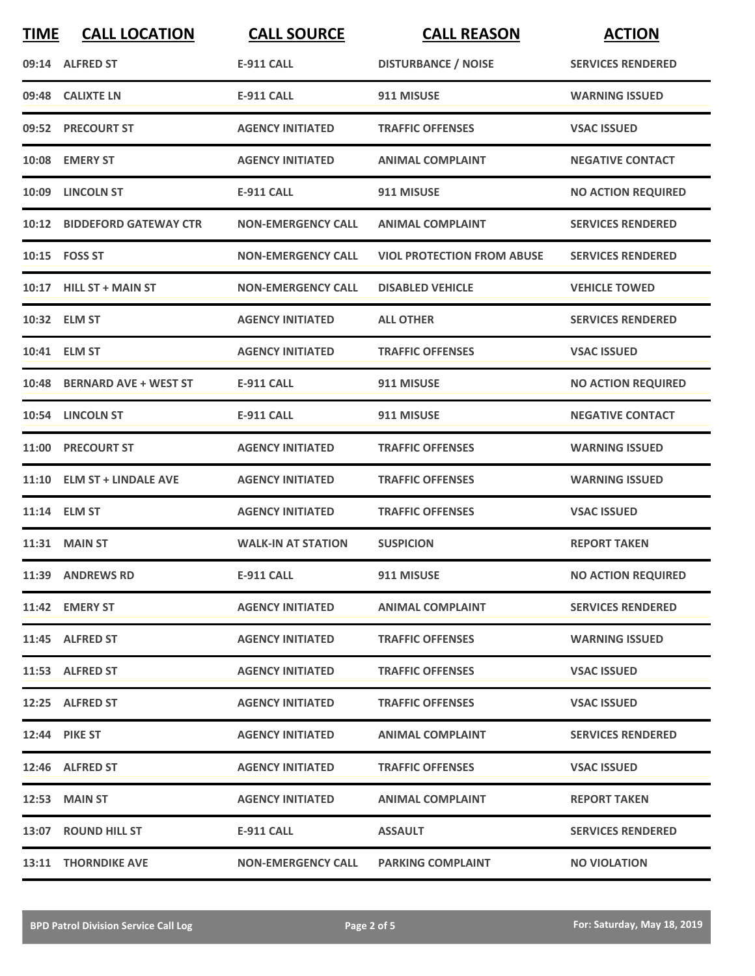| <b>TIME</b> | <b>CALL LOCATION</b>        | <b>CALL SOURCE</b>        | <b>CALL REASON</b>                | <b>ACTION</b>             |
|-------------|-----------------------------|---------------------------|-----------------------------------|---------------------------|
|             | 09:14 ALFRED ST             | <b>E-911 CALL</b>         | <b>DISTURBANCE / NOISE</b>        | <b>SERVICES RENDERED</b>  |
|             | 09:48 CALIXTE LN            | <b>E-911 CALL</b>         | 911 MISUSE                        | <b>WARNING ISSUED</b>     |
|             | 09:52 PRECOURT ST           | <b>AGENCY INITIATED</b>   | <b>TRAFFIC OFFENSES</b>           | <b>VSAC ISSUED</b>        |
|             | 10:08 EMERY ST              | <b>AGENCY INITIATED</b>   | <b>ANIMAL COMPLAINT</b>           | <b>NEGATIVE CONTACT</b>   |
|             | 10:09 LINCOLN ST            | <b>E-911 CALL</b>         | 911 MISUSE                        | <b>NO ACTION REQUIRED</b> |
|             | 10:12 BIDDEFORD GATEWAY CTR | <b>NON-EMERGENCY CALL</b> | <b>ANIMAL COMPLAINT</b>           | <b>SERVICES RENDERED</b>  |
|             | 10:15    FOSS ST            | <b>NON-EMERGENCY CALL</b> | <b>VIOL PROTECTION FROM ABUSE</b> | <b>SERVICES RENDERED</b>  |
|             | 10:17 HILL ST + MAIN ST     | <b>NON-EMERGENCY CALL</b> | <b>DISABLED VEHICLE</b>           | <b>VEHICLE TOWED</b>      |
|             | 10:32 ELM ST                | <b>AGENCY INITIATED</b>   | <b>ALL OTHER</b>                  | <b>SERVICES RENDERED</b>  |
|             | 10:41 ELM ST                | <b>AGENCY INITIATED</b>   | <b>TRAFFIC OFFENSES</b>           | <b>VSAC ISSUED</b>        |
|             | 10:48 BERNARD AVE + WEST ST | <b>E-911 CALL</b>         | 911 MISUSE                        | <b>NO ACTION REQUIRED</b> |
|             | 10:54 LINCOLN ST            | <b>E-911 CALL</b>         | 911 MISUSE                        | <b>NEGATIVE CONTACT</b>   |
| 11:00       | <b>PRECOURT ST</b>          | <b>AGENCY INITIATED</b>   | <b>TRAFFIC OFFENSES</b>           | <b>WARNING ISSUED</b>     |
|             | 11:10 ELM ST + LINDALE AVE  | <b>AGENCY INITIATED</b>   | <b>TRAFFIC OFFENSES</b>           | <b>WARNING ISSUED</b>     |
|             | 11:14 ELM ST                | <b>AGENCY INITIATED</b>   | <b>TRAFFIC OFFENSES</b>           | <b>VSAC ISSUED</b>        |
|             | <b>11:31 MAIN ST</b>        | <b>WALK-IN AT STATION</b> | <b>SUSPICION</b>                  | <b>REPORT TAKEN</b>       |
|             | 11:39 ANDREWS RD            | <b>E-911 CALL</b>         | 911 MISUSE                        | <b>NO ACTION REQUIRED</b> |
|             | 11:42 EMERY ST              | <b>AGENCY INITIATED</b>   | <b>ANIMAL COMPLAINT</b>           | <b>SERVICES RENDERED</b>  |
|             | 11:45 ALFRED ST             | <b>AGENCY INITIATED</b>   | <b>TRAFFIC OFFENSES</b>           | <b>WARNING ISSUED</b>     |
|             | 11:53 ALFRED ST             | <b>AGENCY INITIATED</b>   | <b>TRAFFIC OFFENSES</b>           | <b>VSAC ISSUED</b>        |
|             | 12:25 ALFRED ST             | <b>AGENCY INITIATED</b>   | <b>TRAFFIC OFFENSES</b>           | <b>VSAC ISSUED</b>        |
|             | <b>12:44 PIKE ST</b>        | <b>AGENCY INITIATED</b>   | <b>ANIMAL COMPLAINT</b>           | <b>SERVICES RENDERED</b>  |
|             | 12:46 ALFRED ST             | <b>AGENCY INITIATED</b>   | <b>TRAFFIC OFFENSES</b>           | <b>VSAC ISSUED</b>        |
|             | 12:53 MAIN ST               | <b>AGENCY INITIATED</b>   | <b>ANIMAL COMPLAINT</b>           | <b>REPORT TAKEN</b>       |
|             | 13:07 ROUND HILL ST         | E-911 CALL                | <b>ASSAULT</b>                    | <b>SERVICES RENDERED</b>  |
|             | <b>13:11 THORNDIKE AVE</b>  | <b>NON-EMERGENCY CALL</b> | <b>PARKING COMPLAINT</b>          | <b>NO VIOLATION</b>       |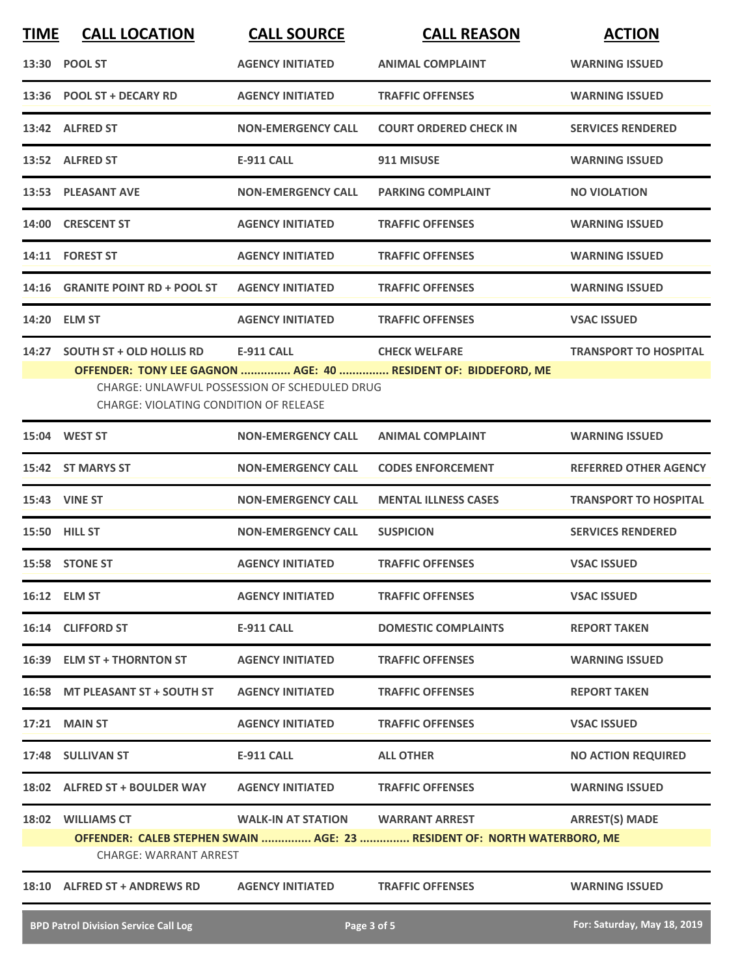| <b>TIME</b> | <b>CALL LOCATION</b>                                                             | <b>CALL SOURCE</b>                                                 | <b>CALL REASON</b>                                                                     | <b>ACTION</b>                |
|-------------|----------------------------------------------------------------------------------|--------------------------------------------------------------------|----------------------------------------------------------------------------------------|------------------------------|
|             | 13:30 POOL ST                                                                    | <b>AGENCY INITIATED</b>                                            | <b>ANIMAL COMPLAINT</b>                                                                | <b>WARNING ISSUED</b>        |
| 13:36       | <b>POOL ST + DECARY RD</b>                                                       | <b>AGENCY INITIATED</b>                                            | <b>TRAFFIC OFFENSES</b>                                                                | <b>WARNING ISSUED</b>        |
|             | 13:42 ALFRED ST                                                                  | <b>NON-EMERGENCY CALL</b>                                          | <b>COURT ORDERED CHECK IN</b>                                                          | <b>SERVICES RENDERED</b>     |
|             | 13:52 ALFRED ST                                                                  | <b>E-911 CALL</b>                                                  | 911 MISUSE                                                                             | <b>WARNING ISSUED</b>        |
|             | 13:53 PLEASANT AVE                                                               | <b>NON-EMERGENCY CALL</b>                                          | <b>PARKING COMPLAINT</b>                                                               | <b>NO VIOLATION</b>          |
| 14:00       | <b>CRESCENT ST</b>                                                               | <b>AGENCY INITIATED</b>                                            | <b>TRAFFIC OFFENSES</b>                                                                | <b>WARNING ISSUED</b>        |
|             | 14:11 FOREST ST                                                                  | <b>AGENCY INITIATED</b>                                            | <b>TRAFFIC OFFENSES</b>                                                                | <b>WARNING ISSUED</b>        |
| 14:16       | <b>GRANITE POINT RD + POOL ST</b>                                                | <b>AGENCY INITIATED</b>                                            | <b>TRAFFIC OFFENSES</b>                                                                | <b>WARNING ISSUED</b>        |
| 14:20       | <b>ELM ST</b>                                                                    | <b>AGENCY INITIATED</b>                                            | <b>TRAFFIC OFFENSES</b>                                                                | <b>VSAC ISSUED</b>           |
| 14:27       | <b>SOUTH ST + OLD HOLLIS RD</b><br><b>CHARGE: VIOLATING CONDITION OF RELEASE</b> | <b>E-911 CALL</b><br>CHARGE: UNLAWFUL POSSESSION OF SCHEDULED DRUG | <b>CHECK WELFARE</b><br>OFFENDER: TONY LEE GAGNON  AGE: 40  RESIDENT OF: BIDDEFORD, ME | <b>TRANSPORT TO HOSPITAL</b> |
|             | 15:04 WEST ST                                                                    | <b>NON-EMERGENCY CALL</b>                                          | <b>ANIMAL COMPLAINT</b>                                                                | <b>WARNING ISSUED</b>        |
|             | 15:42 ST MARYS ST                                                                | <b>NON-EMERGENCY CALL</b>                                          | <b>CODES ENFORCEMENT</b>                                                               | <b>REFERRED OTHER AGENCY</b> |
|             | <b>15:43 VINE ST</b>                                                             | <b>NON-EMERGENCY CALL</b>                                          | <b>MENTAL ILLNESS CASES</b>                                                            | <b>TRANSPORT TO HOSPITAL</b> |
|             | 15:50 HILL ST                                                                    | <b>NON-EMERGENCY CALL</b>                                          | <b>SUSPICION</b>                                                                       | <b>SERVICES RENDERED</b>     |
|             | 15:58 STONE ST                                                                   | <b>AGENCY INITIATED</b>                                            | <b>TRAFFIC OFFENSES</b>                                                                | <b>VSAC ISSUED</b>           |
|             | 16:12 ELM ST                                                                     | <b>AGENCY INITIATED</b>                                            | <b>TRAFFIC OFFENSES</b>                                                                | <b>VSAC ISSUED</b>           |
|             | 16:14 CLIFFORD ST                                                                | E-911 CALL                                                         | <b>DOMESTIC COMPLAINTS</b>                                                             | <b>REPORT TAKEN</b>          |
|             | 16:39 ELM ST + THORNTON ST                                                       | <b>AGENCY INITIATED</b>                                            | <b>TRAFFIC OFFENSES</b>                                                                | <b>WARNING ISSUED</b>        |
|             | 16:58 MT PLEASANT ST + SOUTH ST                                                  | <b>AGENCY INITIATED</b>                                            | <b>TRAFFIC OFFENSES</b>                                                                | <b>REPORT TAKEN</b>          |
|             | <b>17:21 MAIN ST</b>                                                             | <b>AGENCY INITIATED</b>                                            | <b>TRAFFIC OFFENSES</b>                                                                | <b>VSAC ISSUED</b>           |
|             | 17:48 SULLIVAN ST                                                                | E-911 CALL                                                         | <b>ALL OTHER</b>                                                                       | <b>NO ACTION REQUIRED</b>    |
|             | 18:02 ALFRED ST + BOULDER WAY                                                    | <b>AGENCY INITIATED</b>                                            | <b>TRAFFIC OFFENSES</b>                                                                | <b>WARNING ISSUED</b>        |
|             | 18:02 WILLIAMS CT<br><b>CHARGE: WARRANT ARREST</b>                               | WALK-IN AT STATION WARRANT ARREST                                  | OFFENDER: CALEB STEPHEN SWAIN  AGE: 23  RESIDENT OF: NORTH WATERBORO, ME               | <b>ARREST(S) MADE</b>        |
|             | 18:10 ALFRED ST + ANDREWS RD                                                     | <b>AGENCY INITIATED</b>                                            | <b>TRAFFIC OFFENSES</b>                                                                | <b>WARNING ISSUED</b>        |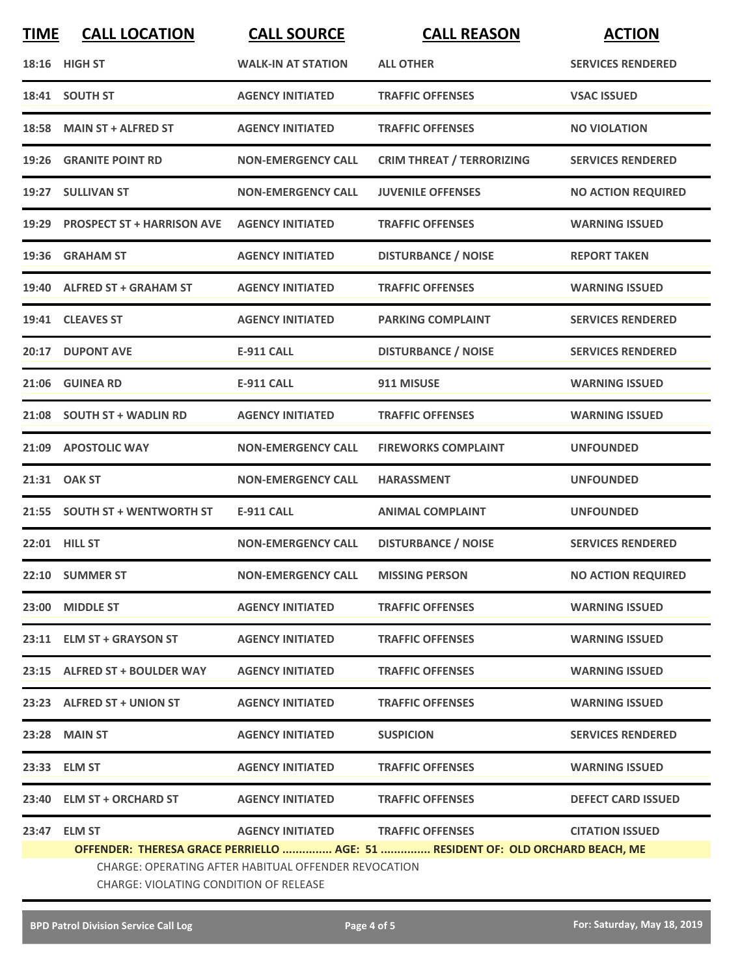| <b>TIME</b>                                                                    | <b>CALL LOCATION</b>                                                                           | <b>CALL SOURCE</b>                | <b>CALL REASON</b>               | <b>ACTION</b>             |  |
|--------------------------------------------------------------------------------|------------------------------------------------------------------------------------------------|-----------------------------------|----------------------------------|---------------------------|--|
|                                                                                | <b>18:16 HIGH ST</b>                                                                           | <b>WALK-IN AT STATION</b>         | <b>ALL OTHER</b>                 | <b>SERVICES RENDERED</b>  |  |
|                                                                                | 18:41 SOUTH ST                                                                                 | <b>AGENCY INITIATED</b>           | <b>TRAFFIC OFFENSES</b>          | <b>VSAC ISSUED</b>        |  |
|                                                                                | 18:58 MAIN ST + ALFRED ST                                                                      | <b>AGENCY INITIATED</b>           | <b>TRAFFIC OFFENSES</b>          | <b>NO VIOLATION</b>       |  |
|                                                                                | <b>19:26 GRANITE POINT RD</b>                                                                  | <b>NON-EMERGENCY CALL</b>         | <b>CRIM THREAT / TERRORIZING</b> | <b>SERVICES RENDERED</b>  |  |
|                                                                                | 19:27 SULLIVAN ST                                                                              | <b>NON-EMERGENCY CALL</b>         | <b>JUVENILE OFFENSES</b>         | <b>NO ACTION REQUIRED</b> |  |
|                                                                                | 19:29 PROSPECT ST + HARRISON AVE                                                               | <b>AGENCY INITIATED</b>           | <b>TRAFFIC OFFENSES</b>          | <b>WARNING ISSUED</b>     |  |
|                                                                                | 19:36 GRAHAM ST                                                                                | <b>AGENCY INITIATED</b>           | <b>DISTURBANCE / NOISE</b>       | <b>REPORT TAKEN</b>       |  |
|                                                                                | 19:40 ALFRED ST + GRAHAM ST                                                                    | <b>AGENCY INITIATED</b>           | <b>TRAFFIC OFFENSES</b>          | <b>WARNING ISSUED</b>     |  |
|                                                                                | 19:41 CLEAVES ST                                                                               | <b>AGENCY INITIATED</b>           | <b>PARKING COMPLAINT</b>         | <b>SERVICES RENDERED</b>  |  |
|                                                                                | 20:17 DUPONT AVE                                                                               | <b>E-911 CALL</b>                 | <b>DISTURBANCE / NOISE</b>       | <b>SERVICES RENDERED</b>  |  |
|                                                                                | 21:06 GUINEA RD                                                                                | <b>E-911 CALL</b>                 | 911 MISUSE                       | <b>WARNING ISSUED</b>     |  |
|                                                                                | 21:08 SOUTH ST + WADLIN RD                                                                     | <b>AGENCY INITIATED</b>           | <b>TRAFFIC OFFENSES</b>          | <b>WARNING ISSUED</b>     |  |
|                                                                                | 21:09 APOSTOLIC WAY                                                                            | <b>NON-EMERGENCY CALL</b>         | <b>FIREWORKS COMPLAINT</b>       | <b>UNFOUNDED</b>          |  |
|                                                                                | 21:31 OAK ST                                                                                   | <b>NON-EMERGENCY CALL</b>         | <b>HARASSMENT</b>                | <b>UNFOUNDED</b>          |  |
|                                                                                | 21:55 SOUTH ST + WENTWORTH ST                                                                  | <b>E-911 CALL</b>                 | <b>ANIMAL COMPLAINT</b>          | <b>UNFOUNDED</b>          |  |
|                                                                                | 22:01 HILL ST                                                                                  | <b>NON-EMERGENCY CALL</b>         | <b>DISTURBANCE / NOISE</b>       | <b>SERVICES RENDERED</b>  |  |
|                                                                                | 22:10 SUMMER ST                                                                                | <b>NON-EMERGENCY CALL</b>         | <b>MISSING PERSON</b>            | <b>NO ACTION REQUIRED</b> |  |
|                                                                                | 23:00 MIDDLE ST                                                                                | <b>AGENCY INITIATED</b>           | <b>TRAFFIC OFFENSES</b>          | <b>WARNING ISSUED</b>     |  |
|                                                                                | 23:11 ELM ST + GRAYSON ST                                                                      | <b>AGENCY INITIATED</b>           | <b>TRAFFIC OFFENSES</b>          | <b>WARNING ISSUED</b>     |  |
|                                                                                | 23:15 ALFRED ST + BOULDER WAY                                                                  | <b>AGENCY INITIATED</b>           | <b>TRAFFIC OFFENSES</b>          | <b>WARNING ISSUED</b>     |  |
|                                                                                | 23:23 ALFRED ST + UNION ST                                                                     | <b>AGENCY INITIATED</b>           | <b>TRAFFIC OFFENSES</b>          | <b>WARNING ISSUED</b>     |  |
|                                                                                | 23:28 MAIN ST                                                                                  | <b>AGENCY INITIATED</b>           | <b>SUSPICION</b>                 | <b>SERVICES RENDERED</b>  |  |
|                                                                                | 23:33 ELM ST                                                                                   | <b>AGENCY INITIATED</b>           | <b>TRAFFIC OFFENSES</b>          | <b>WARNING ISSUED</b>     |  |
|                                                                                | 23:40 ELM ST + ORCHARD ST                                                                      | <b>AGENCY INITIATED</b>           | <b>TRAFFIC OFFENSES</b>          | <b>DEFECT CARD ISSUED</b> |  |
| 23:47                                                                          | <b>ELM ST</b>                                                                                  | AGENCY INITIATED TRAFFIC OFFENSES |                                  | <b>CITATION ISSUED</b>    |  |
| OFFENDER: THERESA GRACE PERRIELLO  AGE: 51  RESIDENT OF: OLD ORCHARD BEACH, ME |                                                                                                |                                   |                                  |                           |  |
|                                                                                | CHARGE: OPERATING AFTER HABITUAL OFFENDER REVOCATION<br>CHARGE: VIOLATING CONDITION OF RELEASE |                                   |                                  |                           |  |